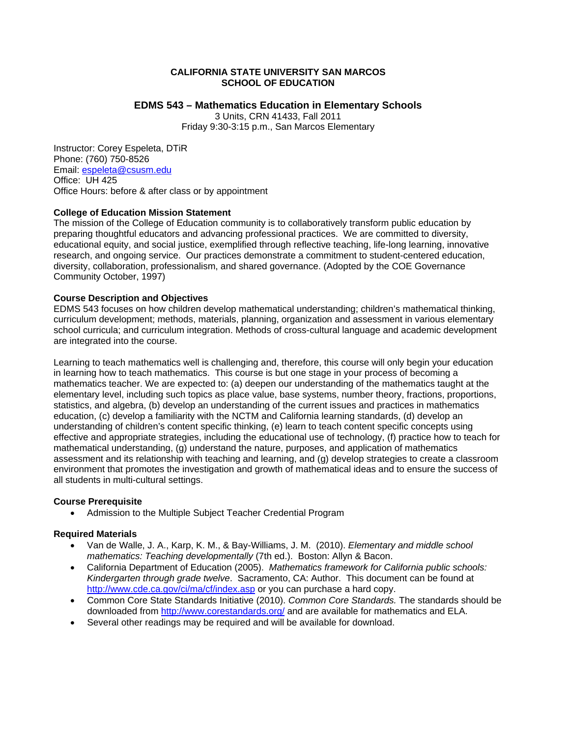## **CALIFORNIA STATE UNIVERSITY SAN MARCOS SCHOOL OF EDUCATION**

# **EDMS 543 – Mathematics Education in Elementary Schools**

3 Units, CRN 41433, Fall 2011 Friday 9:30-3:15 p.m., San Marcos Elementary

Instructor: Corey Espeleta, DTiR Phone: (760) 750-8526 Email: espeleta@csusm.edu Office: UH 425 Office Hours: before & after class or by appointment

## **College of Education Mission Statement**

The mission of the College of Education community is to collaboratively transform public education by preparing thoughtful educators and advancing professional practices. We are committed to diversity, educational equity, and social justice, exemplified through reflective teaching, life-long learning, innovative research, and ongoing service. Our practices demonstrate a commitment to student-centered education, diversity, collaboration, professionalism, and shared governance. (Adopted by the COE Governance Community October, 1997)

## **Course Description and Objectives**

EDMS 543 focuses on how children develop mathematical understanding; children's mathematical thinking, curriculum development; methods, materials, planning, organization and assessment in various elementary school curricula; and curriculum integration. Methods of cross-cultural language and academic development are integrated into the course.

Learning to teach mathematics well is challenging and, therefore, this course will only begin your education in learning how to teach mathematics. This course is but one stage in your process of becoming a mathematics teacher. We are expected to: (a) deepen our understanding of the mathematics taught at the elementary level, including such topics as place value, base systems, number theory, fractions, proportions, statistics, and algebra, (b) develop an understanding of the current issues and practices in mathematics education, (c) develop a familiarity with the NCTM and California learning standards, (d) develop an understanding of children's content specific thinking, (e) learn to teach content specific concepts using effective and appropriate strategies, including the educational use of technology, (f) practice how to teach for mathematical understanding, (g) understand the nature, purposes, and application of mathematics assessment and its relationship with teaching and learning, and (g) develop strategies to create a classroom environment that promotes the investigation and growth of mathematical ideas and to ensure the success of all students in multi-cultural settings.

# **Course Prerequisite**

 Admission to the Multiple Subject Teacher Credential Program

# **Required Materials**

- Van de Walle, J. A., Karp, K. M., & Bay-Williams, J. M. (2010). *Elementary and middle school mathematics: Teaching developmentally* (7th ed.). Boston: Allyn & Bacon.
- California Department of Education (2005). *Mathematics framework for California public schools: Kindergarten through grade twelve*. Sacramento, CA: Author. This document can be found at http://www.cde.ca.gov/ci/ma/cf/index.asp or you can purchase a hard copy.
- Common Core State Standards Initiative (2010). *Common Core Standards.* The standards should be downloaded from http://www.corestandards.org/ and are available for mathematics and ELA.
- Several other readings may be required and will be available for download.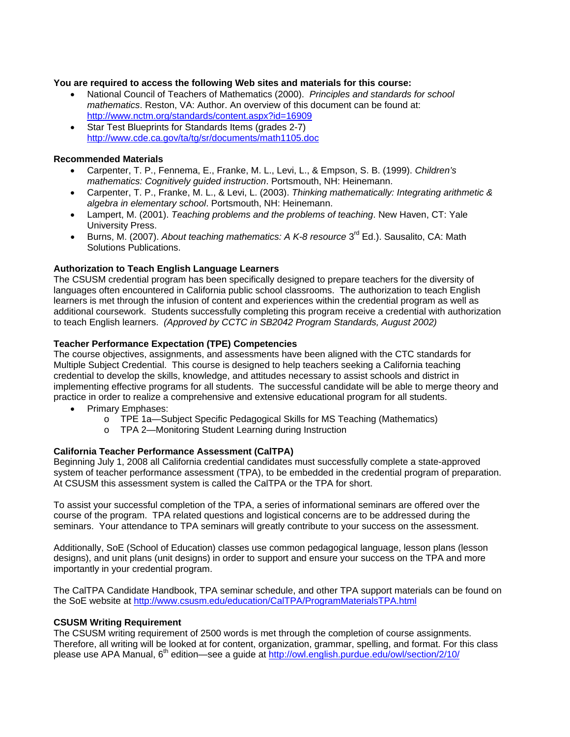## **You are required to access the following Web sites and materials for this course:**

- *mathematics*. Reston, VA: Author. An overview of this document can be found at: http://www.nctm.org/standards/content.aspx?id=16909 National Council of Teachers of Mathematics (2000). *Principles and standards for school*
- Star Test Blueprints for Standards Items (grades 2-7) http://www.cde.ca.gov/ta/tg/sr/documents/math1105.doc

## **Recommended Materials**

- Carpenter, T. P., Fennema, E., Franke, M. L., Levi, L., & Empson, S. B. (1999). *Children's mathematics: Cognitively guided instruction*. Portsmouth, NH: Heinemann.
- Carpenter, T. P., Franke, M. L., & Levi, L. (2003). *Thinking mathematically: Integrating arithmetic & algebra in elementary school*. Portsmouth, NH: Heinemann.
- Lampert, M. (2001). *Teaching problems and the problems of teaching*. New Haven, CT: Yale University Press.
- Burns, M. (2007). *About teaching mathematics: A K-8 resource* 3<sup>rd</sup> Ed.). Sausalito, CA: Math Solutions Publications.

# **Authorization to Teach English Language Learners**

The CSUSM credential program has been specifically designed to prepare teachers for the diversity of languages often encountered in California public school classrooms. The authorization to teach English learners is met through the infusion of content and experiences within the credential program as well as additional coursework. Students successfully completing this program receive a credential with authorization to teach English learners. *(Approved by CCTC in SB2042 Program Standards, August 2002)* 

## **Teacher Performance Expectation (TPE) Competencies**

The course objectives, assignments, and assessments have been aligned with the CTC standards for Multiple Subject Credential. This course is designed to help teachers seeking a California teaching credential to develop the skills, knowledge, and attitudes necessary to assist schools and district in implementing effective programs for all students. The successful candidate will be able to merge theory and practice in order to realize a comprehensive and extensive educational program for all students.

- Primary Emphases:
	- o TPE 1a-Subject Specific Pedagogical Skills for MS Teaching (Mathematics)
	- o TPA 2—Monitoring Student Learning during Instruction

#### **California Teacher Performance Assessment (CalTPA)**

Beginning July 1, 2008 all California credential candidates must successfully complete a state-approved system of teacher performance assessment (TPA), to be embedded in the credential program of preparation. At CSUSM this assessment system is called the CalTPA or the TPA for short.

To assist your successful completion of the TPA, a series of informational seminars are offered over the course of the program. TPA related questions and logistical concerns are to be addressed during the seminars. Your attendance to TPA seminars will greatly contribute to your success on the assessment.

Additionally, SoE (School of Education) classes use common pedagogical language, lesson plans (lesson designs), and unit plans (unit designs) in order to support and ensure your success on the TPA and more importantly in your credential program.

 the SoE website at http://www.csusm.edu/education/CalTPA/ProgramMaterialsTPA.html The CalTPA Candidate Handbook, TPA seminar schedule, and other TPA support materials can be found on

#### **CSUSM Writing Requirement**

please use APA Manual, 6<sup>th</sup> edition—see a guide at http://owl.english.purdue.edu/owl/section/2/10/ The CSUSM writing requirement of 2500 words is met through the completion of course assignments. Therefore, all writing will be looked at for content, organization, grammar, spelling, and format. For this class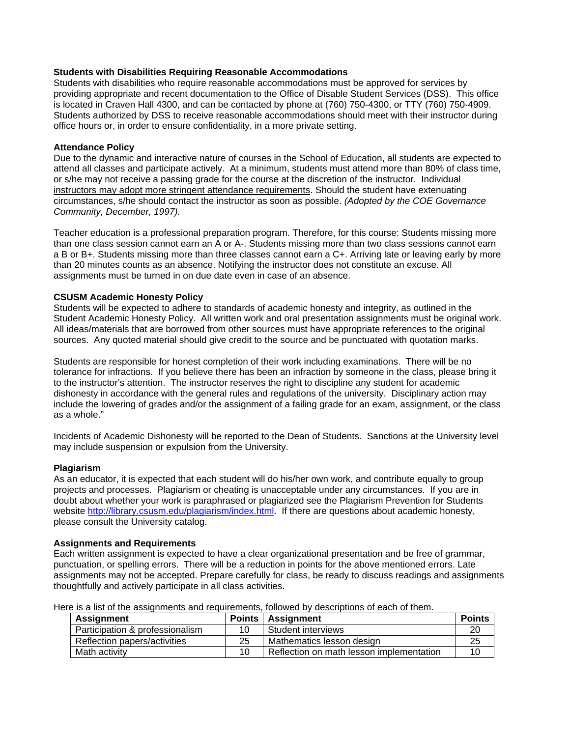### **Students with Disabilities Requiring Reasonable Accommodations**

Students with disabilities who require reasonable accommodations must be approved for services by providing appropriate and recent documentation to the Office of Disable Student Services (DSS). This office is located in Craven Hall 4300, and can be contacted by phone at (760) 750-4300, or TTY (760) 750-4909. Students authorized by DSS to receive reasonable accommodations should meet with their instructor during office hours or, in order to ensure confidentiality, in a more private setting.

### **Attendance Policy**

Due to the dynamic and interactive nature of courses in the School of Education, all students are expected to attend all classes and participate actively. At a minimum, students must attend more than 80% of class time, or s/he may not receive a passing grade for the course at the discretion of the instructor. Individual instructors may adopt more stringent attendance requirements. Should the student have extenuating circumstances, s/he should contact the instructor as soon as possible. *(Adopted by the COE Governance Community, December, 1997).* 

Teacher education is a professional preparation program. Therefore, for this course: Students missing more than one class session cannot earn an A or A-. Students missing more than two class sessions cannot earn a B or B+. Students missing more than three classes cannot earn a C+. Arriving late or leaving early by more than 20 minutes counts as an absence. Notifying the instructor does not constitute an excuse. All assignments must be turned in on due date even in case of an absence.

# **CSUSM Academic Honesty Policy**

Students will be expected to adhere to standards of academic honesty and integrity, as outlined in the Student Academic Honesty Policy. All written work and oral presentation assignments must be original work. All ideas/materials that are borrowed from other sources must have appropriate references to the original sources. Any quoted material should give credit to the source and be punctuated with quotation marks.

Students are responsible for honest completion of their work including examinations. There will be no tolerance for infractions. If you believe there has been an infraction by someone in the class, please bring it to the instructor's attention. The instructor reserves the right to discipline any student for academic dishonesty in accordance with the general rules and regulations of the university. Disciplinary action may include the lowering of grades and/or the assignment of a failing grade for an exam, assignment, or the class as a whole."

Incidents of Academic Dishonesty will be reported to the Dean of Students. Sanctions at the University level may include suspension or expulsion from the University.

#### **Plagiarism**

As an educator, it is expected that each student will do his/her own work, and contribute equally to group projects and processes. Plagiarism or cheating is unacceptable under any circumstances. If you are in doubt about whether your work is paraphrased or plagiarized see the Plagiarism Prevention for Students website http://library.csusm.edu/plagiarism/index.html. If there are questions about academic honesty, please consult the University catalog.

#### **Assignments and Requirements**

Each written assignment is expected to have a clear organizational presentation and be free of grammar, punctuation, or spelling errors. There will be a reduction in points for the above mentioned errors. Late assignments may not be accepted. Prepare carefully for class, be ready to discuss readings and assignments thoughtfully and actively participate in all class activities.

| Assignment                      |    | Points   Assignment                      | <b>Points</b> |
|---------------------------------|----|------------------------------------------|---------------|
| Participation & professionalism |    | Student interviews                       | 20            |
| Reflection papers/activities    | 25 | Mathematics lesson design                | 25            |
| Math activity                   |    | Reflection on math lesson implementation | 10            |

Here is a list of the assignments and requirements, followed by descriptions of each of them.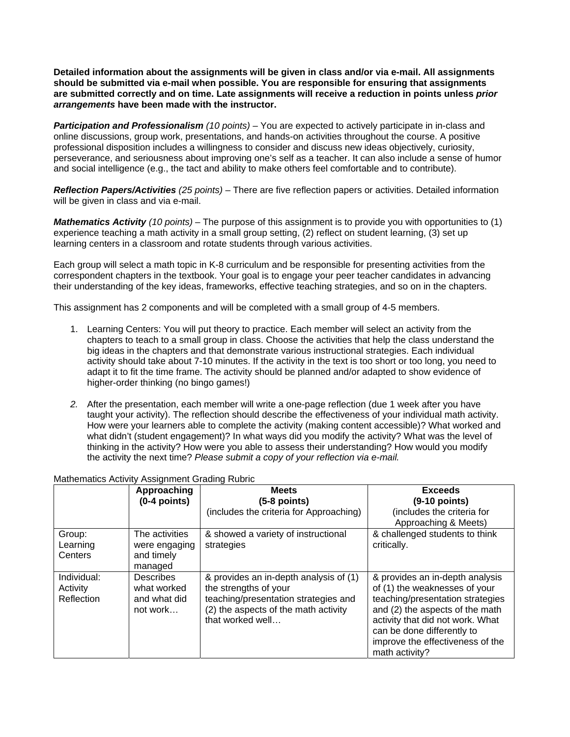**Detailed information about the assignments will be given in class and/or via e-mail. All assignments should be submitted via e-mail when possible. You are responsible for ensuring that assignments are submitted correctly and on time. Late assignments will receive a reduction in points unless** *prior arrangements* **have been made with the instructor.** 

*Participation and Professionalism (10 points)* – You are expected to actively participate in in-class and online discussions, group work, presentations, and hands-on activities throughout the course. A positive professional disposition includes a willingness to consider and discuss new ideas objectively, curiosity, perseverance, and seriousness about improving one's self as a teacher. It can also include a sense of humor and social intelligence (e.g., the tact and ability to make others feel comfortable and to contribute).

*Reflection Papers/Activities (25 points)* – There are five reflection papers or activities. Detailed information will be given in class and via e-mail.

*Mathematics Activity (10 points)* – The purpose of this assignment is to provide you with opportunities to (1) experience teaching a math activity in a small group setting, (2) reflect on student learning, (3) set up learning centers in a classroom and rotate students through various activities.

Each group will select a math topic in K-8 curriculum and be responsible for presenting activities from the correspondent chapters in the textbook. Your goal is to engage your peer teacher candidates in advancing their understanding of the key ideas, frameworks, effective teaching strategies, and so on in the chapters.

This assignment has 2 components and will be completed with a small group of 4-5 members.

- 1. Learning Centers: You will put theory to practice. Each member will select an activity from the chapters to teach to a small group in class. Choose the activities that help the class understand the big ideas in the chapters and that demonstrate various instructional strategies. Each individual activity should take about 7-10 minutes. If the activity in the text is too short or too long, you need to adapt it to fit the time frame. The activity should be planned and/or adapted to show evidence of higher-order thinking (no bingo games!)
- *2.* After the presentation, each member will write a one-page reflection (due 1 week after you have taught your activity). The reflection should describe the effectiveness of your individual math activity. How were your learners able to complete the activity (making content accessible)? What worked and what didn't (student engagement)? In what ways did you modify the activity? What was the level of thinking in the activity? How were you able to assess their understanding? How would you modify the activity the next time? *Please submit a copy of your reflection via e-mail.*

|                                       | Approaching<br>$(0-4$ points)                               | <b>Meets</b><br>$(5-8$ points)                                                                                                                                      | <b>Exceeds</b><br>$(9-10$ points)                                                                                                                                                                                                                               |
|---------------------------------------|-------------------------------------------------------------|---------------------------------------------------------------------------------------------------------------------------------------------------------------------|-----------------------------------------------------------------------------------------------------------------------------------------------------------------------------------------------------------------------------------------------------------------|
|                                       |                                                             | (includes the criteria for Approaching)                                                                                                                             | (includes the criteria for<br>Approaching & Meets)                                                                                                                                                                                                              |
| Group:<br>Learning<br>Centers         | The activities<br>were engaging<br>and timely<br>managed    | & showed a variety of instructional<br>strategies                                                                                                                   | & challenged students to think<br>critically.                                                                                                                                                                                                                   |
| Individual:<br>Activity<br>Reflection | <b>Describes</b><br>what worked<br>and what did<br>not work | & provides an in-depth analysis of (1)<br>the strengths of your<br>teaching/presentation strategies and<br>(2) the aspects of the math activity<br>that worked well | & provides an in-depth analysis<br>of (1) the weaknesses of your<br>teaching/presentation strategies<br>and (2) the aspects of the math<br>activity that did not work. What<br>can be done differently to<br>improve the effectiveness of the<br>math activity? |

#### Mathematics Activity Assignment Grading Rubric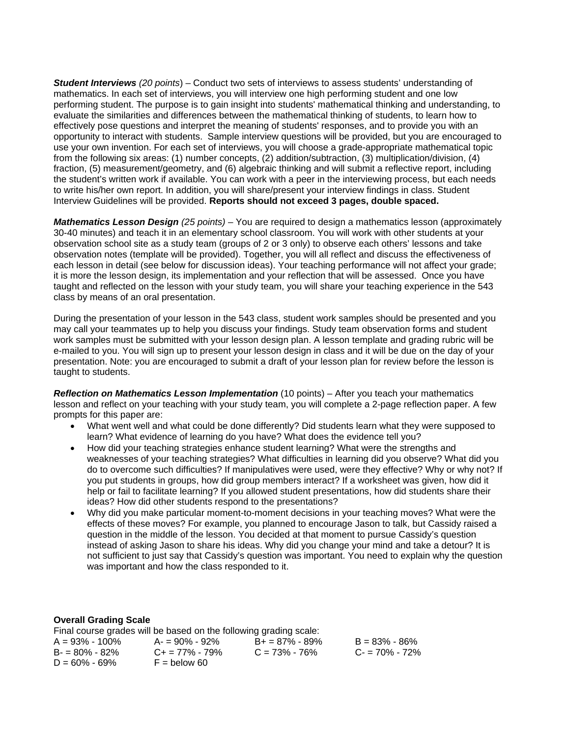*Student Interviews (20 points*) – Conduct two sets of interviews to assess students' understanding of mathematics. In each set of interviews, you will interview one high performing student and one low performing student. The purpose is to gain insight into students' mathematical thinking and understanding, to evaluate the similarities and differences between the mathematical thinking of students, to learn how to effectively pose questions and interpret the meaning of students' responses, and to provide you with an opportunity to interact with students. Sample interview questions will be provided, but you are encouraged to use your own invention. For each set of interviews, you will choose a grade-appropriate mathematical topic from the following six areas: (1) number concepts, (2) addition/subtraction, (3) multiplication/division, (4) fraction, (5) measurement/geometry, and (6) algebraic thinking and will submit a reflective report, including the student's written work if available. You can work with a peer in the interviewing process, but each needs to write his/her own report. In addition, you will share/present your interview findings in class. Student Interview Guidelines will be provided. **Reports should not exceed 3 pages, double spaced.** 

*Mathematics Lesson Design (25 points)* – You are required to design a mathematics lesson (approximately 30-40 minutes) and teach it in an elementary school classroom. You will work with other students at your observation school site as a study team (groups of 2 or 3 only) to observe each others' lessons and take observation notes (template will be provided). Together, you will all reflect and discuss the effectiveness of each lesson in detail (see below for discussion ideas). Your teaching performance will not affect your grade; it is more the lesson design, its implementation and your reflection that will be assessed. Once you have taught and reflected on the lesson with your study team, you will share your teaching experience in the 543 class by means of an oral presentation.

During the presentation of your lesson in the 543 class, student work samples should be presented and you may call your teammates up to help you discuss your findings. Study team observation forms and student work samples must be submitted with your lesson design plan. A lesson template and grading rubric will be e-mailed to you. You will sign up to present your lesson design in class and it will be due on the day of your presentation. Note: you are encouraged to submit a draft of your lesson plan for review before the lesson is taught to students.

*Reflection on Mathematics Lesson Implementation* (10 points) – After you teach your mathematics lesson and reflect on your teaching with your study team, you will complete a 2-page reflection paper. A few prompts for this paper are:

- What went well and what could be done differently? Did students learn what they were supposed to learn? What evidence of learning do you have? What does the evidence tell you?
- How did your teaching strategies enhance student learning? What were the strengths and weaknesses of your teaching strategies? What difficulties in learning did you observe? What did you do to overcome such difficulties? If manipulatives were used, were they effective? Why or why not? If you put students in groups, how did group members interact? If a worksheet was given, how did it help or fail to facilitate learning? If you allowed student presentations, how did students share their ideas? How did other students respond to the presentations?
- Why did you make particular moment-to-moment decisions in your teaching moves? What were the effects of these moves? For example, you planned to encourage Jason to talk, but Cassidy raised a question in the middle of the lesson. You decided at that moment to pursue Cassidy's question instead of asking Jason to share his ideas. Why did you change your mind and take a detour? It is not sufficient to just say that Cassidy's question was important. You need to explain why the question was important and how the class responded to it.

#### **Overall Grading Scale**

| Final course grades will be based on the following grading scale: |                         |                     |                   |  |
|-------------------------------------------------------------------|-------------------------|---------------------|-------------------|--|
| $A = 93\% - 100\%$                                                | A- = 90% - 92%          | $B_+ = 87\% - 89\%$ | $B = 83\% - 86\%$ |  |
| $B = 80\% - 82\%$                                                 | $C_{\pm} = 77\% - 79\%$ | $C = 73\% - 76\%$   | $C = 70\% - 72\%$ |  |
| $D = 60\% - 69\%$                                                 | $F =$ below 60          |                     |                   |  |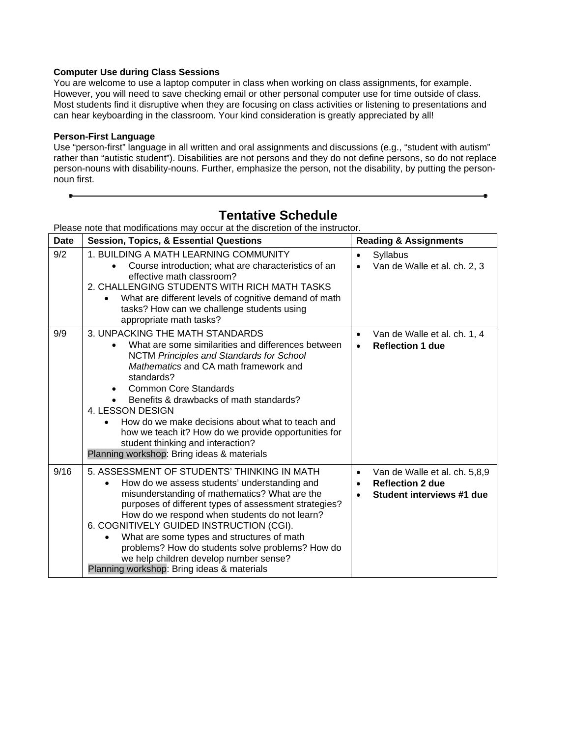# **Computer Use during Class Sessions**

You are welcome to use a laptop computer in class when working on class assignments, for example. However, you will need to save checking email or other personal computer use for time outside of class. Most students find it disruptive when they are focusing on class activities or listening to presentations and can hear keyboarding in the classroom. Your kind consideration is greatly appreciated by all!

## **Person-First Language**

Use "person-first" language in all written and oral assignments and discussions (e.g., "student with autism" rather than "autistic student"). Disabilities are not persons and they do not define persons, so do not replace person-nouns with disability-nouns. Further, emphasize the person, not the disability, by putting the personnoun first.

| <b>Date</b> | r icase note that mounications may becar at the discretion or the instructor.<br><b>Session, Topics, &amp; Essential Questions</b>                                                                                                                                                                                                                                                                                                                                                                         | <b>Reading &amp; Assignments</b>                                                                                             |
|-------------|------------------------------------------------------------------------------------------------------------------------------------------------------------------------------------------------------------------------------------------------------------------------------------------------------------------------------------------------------------------------------------------------------------------------------------------------------------------------------------------------------------|------------------------------------------------------------------------------------------------------------------------------|
| 9/2         | 1. BUILDING A MATH LEARNING COMMUNITY<br>Course introduction; what are characteristics of an<br>effective math classroom?<br>2. CHALLENGING STUDENTS WITH RICH MATH TASKS<br>What are different levels of cognitive demand of math<br>tasks? How can we challenge students using<br>appropriate math tasks?                                                                                                                                                                                                | Syllabus<br>$\bullet$<br>Van de Walle et al. ch. 2, 3<br>$\bullet$                                                           |
| 9/9         | 3. UNPACKING THE MATH STANDARDS<br>What are some similarities and differences between<br><b>NCTM Principles and Standards for School</b><br>Mathematics and CA math framework and<br>standards?<br><b>Common Core Standards</b><br>$\bullet$<br>Benefits & drawbacks of math standards?<br>4. LESSON DESIGN<br>How do we make decisions about what to teach and<br>how we teach it? How do we provide opportunities for<br>student thinking and interaction?<br>Planning workshop: Bring ideas & materials | Van de Walle et al. ch. 1, 4<br>$\bullet$<br><b>Reflection 1 due</b><br>$\bullet$                                            |
| 9/16        | 5. ASSESSMENT OF STUDENTS' THINKING IN MATH<br>How do we assess students' understanding and<br>misunderstanding of mathematics? What are the<br>purposes of different types of assessment strategies?<br>How do we respond when students do not learn?<br>6. COGNITIVELY GUIDED INSTRUCTION (CGI).<br>What are some types and structures of math<br>problems? How do students solve problems? How do<br>we help children develop number sense?<br>Planning workshop: Bring ideas & materials               | Van de Walle et al. ch. 5,8,9<br>$\bullet$<br><b>Reflection 2 due</b><br>$\bullet$<br>Student interviews #1 due<br>$\bullet$ |

# **Tentative Schedule**

Please note that modifications may occur at the discretion of the instructor.